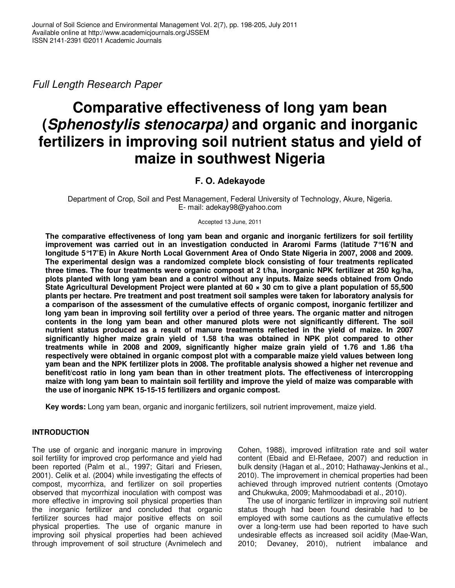Full Length Research Paper

# **Comparative effectiveness of long yam bean (Sphenostylis stenocarpa) and organic and inorganic fertilizers in improving soil nutrient status and yield of maize in southwest Nigeria**

# **F. O. Adekayode**

Department of Crop, Soil and Pest Management, Federal University of Technology, Akure, Nigeria. E- mail: adekay98@yahoo.com

Accepted 13 June, 2011

**The comparative effectiveness of long yam bean and organic and inorganic fertilizers for soil fertility improvement was carried out in an investigation conducted in Araromi Farms (latitude 7°16'N and longitude 5°17'E) in Akure North Local Government Area of Ondo State Nigeria in 2007, 2008 and 2009. The experimental design was a randomized complete block consisting of four treatments replicated three times. The four treatments were organic compost at 2 t/ha, inorganic NPK fertilizer at 250 kg/ha, plots planted with long yam bean and a control without any inputs. Maize seeds obtained from Ondo State Agricultural Development Project were planted at 60 × 30 cm to give a plant population of 55,500 plants per hectare. Pre treatment and post treatment soil samples were taken for laboratory analysis for a comparison of the assessment of the cumulative effects of organic compost, inorganic fertilizer and long yam bean in improving soil fertility over a period of three years. The organic matter and nitrogen contents in the long yam bean and other manured plots were not significantly different. The soil nutrient status produced as a result of manure treatments reflected in the yield of maize. In 2007 significantly higher maize grain yield of 1.58 t/ha was obtained in NPK plot compared to other treatments while in 2008 and 2009, significantly higher maize grain yield of 1.76 and 1.86 t/ha respectively were obtained in organic compost plot with a comparable maize yield values between long yam bean and the NPK fertilizer plots in 2008. The profitable analysis showed a higher net revenue and benefit/cost ratio in long yam bean than in other treatment plots. The effectiveness of intercropping maize with long yam bean to maintain soil fertility and improve the yield of maize was comparable with the use of inorganic NPK 15-15-15 fertilizers and organic compost.** 

**Key words:** Long yam bean, organic and inorganic fertilizers, soil nutrient improvement, maize yield.

# **INTRODUCTION**

The use of organic and inorganic manure in improving soil fertility for improved crop performance and yield had been reported (Palm et al., 1997; Gitari and Friesen, 2001). Celik et al. (2004) while investigating the effects of compost, mycorrhiza, and fertilizer on soil properties observed that mycorrhizal inoculation with compost was more effective in improving soil physical properties than the inorganic fertilizer and concluded that organic fertilizer sources had major positive effects on soil physical properties. The use of organic manure in improving soil physical properties had been achieved through improvement of soil structure (Avnimelech and Cohen, 1988), improved infiltration rate and soil water content (Ebaid and El-Refaee, 2007) and reduction in bulk density (Hagan et al., 2010; Hathaway-Jenkins et al., 2010). The improvement in chemical properties had been achieved through improved nutrient contents (Omotayo and Chukwuka, 2009; Mahmoodabadi et al., 2010).

 The use of inorganic fertilizer in improving soil nutrient status though had been found desirable had to be employed with some cautions as the cumulative effects over a long-term use had been reported to have such undesirable effects as increased soil acidity (Mae-Wan, 2010; Devaney, 2010), nutrient imbalance and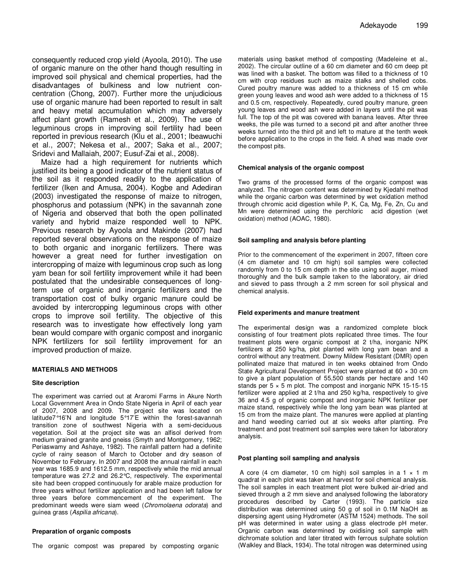consequently reduced crop yield (Ayoola, 2010). The use of organic manure on the other hand though resulting in improved soil physical and chemical properties, had the disadvantages of bulkiness and low nutrient concentration (Chong, 2007). Further more the unjudicious use of organic manure had been reported to result in salt and heavy metal accumulation which may adversely affect plant growth (Ramesh et al., 2009). The use of leguminous crops in improving soil fertility had been reported in previous research (Klu et al., 2001; Ibeawuchi et al., 2007; Nekesa et al., 2007; Saka et al., 2007; Sridevi and Mallaiah, 2007; Eusuf-Zai et al., 2008).

 Maize had a high requirement for nutrients which justified its being a good indicator of the nutrient status of the soil as it responded readily to the application of fertilizer (Iken and Amusa, 2004). Kogbe and Adediran (2003) investigated the response of maize to nitrogen, phosphorus and potassium (NPK) in the savannah zone of Nigeria and observed that both the open pollinated variety and hybrid maize responded well to NPK. Previous research by Ayoola and Makinde (2007) had reported several observations on the response of maize to both organic and inorganic fertilizers. There was however a great need for further investigation on intercropping of maize with leguminous crop such as long yam bean for soil fertility improvement while it had been postulated that the undesirable consequences of longterm use of organic and inorganic fertilizers and the transportation cost of bulky organic manure could be avoided by intercropping leguminous crops with other crops to improve soil fertility. The objective of this research was to investigate how effectively long yam bean would compare with organic compost and inorganic NPK fertilizers for soil fertility improvement for an improved production of maize.

#### **MATERIALS AND METHODS**

#### **Site description**

The experiment was carried out at Araromi Farms in Akure North Local Government Area in Ondo State Nigeria in April of each year of 2007, 2008 and 2009. The project site was located on latitude7°16'N and longitude 5°17'E within the forest-savannah transition zone of southwest Nigeria with a semi-deciduous vegetation. Soil at the project site was an alfisol derived from medium grained granite and gneiss (Smyth and Montgomery, 1962; Periaswamy and Ashaye, 1982). The rainfall pattern had a definite cycle of rainy season of March to October and dry season of November to February. In 2007 and 2008 the annual rainfall in each year was 1685.9 and 1612.5 mm, respectively while the mid annual temperature was 27.2 and 26.2°C, respectively. The experimental site had been cropped continuously for arable maize production for three years without fertilizer application and had been left fallow for three years before commencement of the experiment. The predominant weeds were siam weed (Chromolaena odorata) and guinea grass (Aspilia africana).

#### **Preparation of organic composts**

The organic compost was prepared by composting organic

materials using basket method of composting (Madeleine et al., 2002). The circular outline of a 60 cm diameter and 60 cm deep pit was lined with a basket. The bottom was filled to a thickness of 10 cm with crop residues such as maize stalks and shelled cobs. Cured poultry manure was added to a thickness of 15 cm while green young leaves and wood ash were added to a thickness of 15 and 0.5 cm, respectively. Repeatedly, cured poultry manure, green young leaves and wood ash were added in layers until the pit was full. The top of the pit was covered with banana leaves. After three weeks, the pile was turned to a second pit and after another three weeks turned into the third pit and left to mature at the tenth week before application to the crops in the field. A shed was made over the compost pits.

#### **Chemical analysis of the organic compost**

Two grams of the processed forms of the organic compost was analyzed. The nitrogen content was determined by Kjedahl method while the organic carbon was determined by wet oxidation method through chromic acid digestion while P, K, Ca, Mg, Fe, Zn, Cu and Mn were determined using the perchloric acid digestion (wet oxidation) method (AOAC, 1980).

#### **Soil sampling and analysis before planting**

Prior to the commencement of the experiment in 2007, fifteen core (4 cm diameter and 10 cm high) soil samples were collected randomly from 0 to 15 cm depth in the site using soil auger, mixed thoroughly and the bulk sample taken to the laboratory, air dried and sieved to pass through a 2 mm screen for soil physical and chemical analysis.

#### **Field experiments and manure treatment**

The experimental design was a randomized complete block consisting of four treatment plots replicated three times. The four treatment plots were organic compost at 2 t/ha, inorganic NPK fertilizers at 250 kg/ha, plot planted with long yam bean and a control without any treatment. Downy Mildew Resistant (DMR) open pollinated maize that matured in ten weeks obtained from Ondo State Agricultural Development Project were planted at 60 × 30 cm to give a plant population of 55,500 stands per hectare and 140 stands per  $5 \times 5$  m plot. The compost and inorganic NPK 15-15-15 fertilizer were applied at 2 t/ha and 250 kg/ha, respectively to give 36 and 4.5 g of organic compost and inorganic NPK fertilizer per maize stand, respectively while the long yam bean was planted at 15 cm from the maize plant. The manures were applied at planting and hand weeding carried out at six weeks after planting. Pre treatment and post treatment soil samples were taken for laboratory analysis.

#### **Post planting soil sampling and analysis**

A core (4 cm diameter, 10 cm high) soil samples in a 1  $\times$  1 m quadrat in each plot was taken at harvest for soil chemical analysis. The soil samples in each treatment plot were bulked air-dried and sieved through a 2 mm sieve and analysed following the laboratory procedures described by Carter (1993). The particle size distribution was determined using 50 g of soil in 0.1M NaOH as dispersing agent using Hydrometer (ASTM 1524) methods. The soil pH was determined in water using a glass electrode pH meter. Organic carbon was determined by oxidising soil sample with dichromate solution and later titrated with ferrous sulphate solution (Walkley and Black, 1934). The total nitrogen was determined using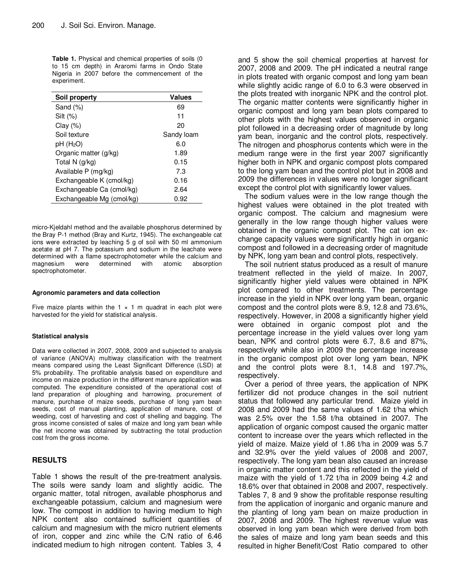**Table 1.** Physical and chemical properties of soils (0 to 15 cm depth) in Araromi farms in Ondo State Nigeria in 2007 before the commencement of the experiment.

| Soil property             | <b>Values</b> |
|---------------------------|---------------|
| Sand $(\%)$               | 69            |
| $Silt (\%)$               | 11            |
| Clay $(\%)$               | 20            |
| Soil texture              | Sandy loam    |
| pH(H <sub>2</sub> O)      | 6.0           |
| Organic matter (g/kg)     | 1.89          |
| Total N (g/kg)            | 0.15          |
| Available P (mg/kg)       | 7.3           |
| Exchangeable K (cmol/kg)  | 0.16          |
| Exchangeable Ca (cmol/kg) | 2.64          |
| Exchangeable Mg (cmol/kg) | 0.92          |

micro-Kjeldahl method and the available phosphorus determined by the Bray P-1 method (Bray and Kurtz, 1945). The exchangeable cat ions were extracted by leaching 5 g of soil with 50 ml ammonium acetate at pH 7. The potassium and sodium in the leachate were determined with a flame spectrophotometer while the calcium and magnesium were determined with atomic absorption spectrophotometer.

#### **Agronomic parameters and data collection**

Five maize plants within the 1  $\times$  1 m quadrat in each plot were harvested for the yield for statistical analysis.

### **Statistical analysis**

Data were collected in 2007, 2008, 2009 and subjected to analysis of variance (ANOVA) multiway classification with the treatment means compared using the Least Significant Difference (LSD) at 5% probability. The profitable analysis based on expenditure and income on maize production in the different manure application was computed. The expenditure consisted of the operational cost of land preparation of ploughing and harrowing, procurement of manure, purchase of maize seeds, purchase of long yam bean seeds, cost of manual planting, application of manure, cost of weeding, cost of harvesting and cost of shelling and bagging. The gross income consisted of sales of maize and long yam bean while the net income was obtained by subtracting the total production cost from the gross income.

# **RESULTS**

Table 1 shows the result of the pre-treatment analysis. The soils were sandy loam and slightly acidic. The organic matter, total nitrogen, available phosphorus and exchangeable potassium, calcium and magnesium were low. The compost in addition to having medium to high NPK content also contained sufficient quantities of calcium and magnesium with the micro nutrient elements of iron, copper and zinc while the C/N ratio of 6.46 indicated medium to high nitrogen content. Tables 3, 4 and 5 show the soil chemical properties at harvest for 2007, 2008 and 2009. The pH indicated a neutral range in plots treated with organic compost and long yam bean while slightly acidic range of 6.0 to 6.3 were observed in the plots treated with inorganic NPK and the control plot. The organic matter contents were significantly higher in organic compost and long yam bean plots compared to other plots with the highest values observed in organic plot followed in a decreasing order of magnitude by long yam bean, inorganic and the control plots, respectively. The nitrogen and phosphorus contents which were in the medium range were in the first year 2007 significantly higher both in NPK and organic compost plots compared to the long yam bean and the control plot but in 2008 and 2009 the differences in values were no longer significant except the control plot with significantly lower values.

The sodium values were in the low range though the highest values were obtained in the plot treated with organic compost. The calcium and magnesium were generally in the low range though higher values were obtained in the organic compost plot. The cat ion exchange capacity values were significantly high in organic compost and followed in a decreasing order of magnitude by NPK, long yam bean and control plots, respectively.

The soil nutrient status produced as a result of manure treatment reflected in the yield of maize. In 2007, significantly higher yield values were obtained in NPK plot compared to other treatments. The percentage increase in the yield in NPK over long yam bean, organic compost and the control plots were 8.9, 12.8 and 73.6%, respectively. However, in 2008 a significantly higher yield were obtained in organic compost plot and the percentage increase in the yield values over long yam bean, NPK and control plots were 6.7, 8.6 and 87%, respectively while also in 2009 the percentage increase in the organic compost plot over long yam bean, NPK and the control plots were 8.1, 14.8 and 197.7%, respectively.

Over a period of three years, the application of NPK fertilizer did not produce changes in the soil nutrient status that followed any particular trend. Maize yield in 2008 and 2009 had the same values of 1.62 t/ha which was 2.5% over the 1.58 t/ha obtained in 2007. The application of organic compost caused the organic matter content to increase over the years which reflected in the yield of maize. Maize yield of 1.86 t/ha in 2009 was 5.7 and 32.9% over the yield values of 2008 and 2007, respectively. The long yam bean also caused an increase in organic matter content and this reflected in the yield of maize with the yield of 1.72 t/ha in 2009 being 4.2 and 18.6% over that obtained in 2008 and 2007, respectively. Tables 7, 8 and 9 show the profitable response resulting from the application of inorganic and organic manure and the planting of long yam bean on maize production in 2007, 2008 and 2009. The highest revenue value was observed in long yam bean which were derived from both the sales of maize and long yam bean seeds and this resulted in higher Benefit/Cost Ratio compared to other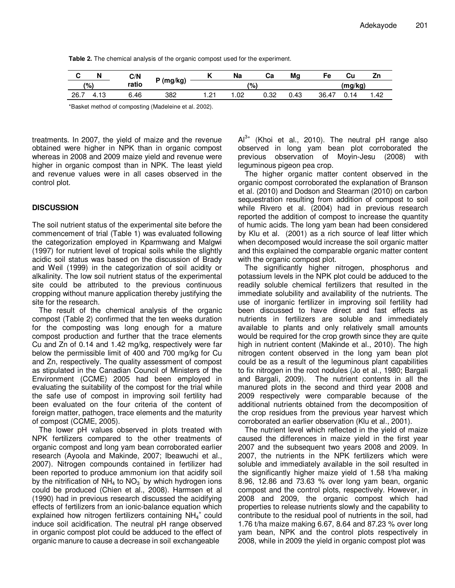**Table 2.** The chemical analysis of the organic compost used for the experiment.

|      | N    | C/N   |           |               | Na    | Ca   | Mg   | Fe    | ناب     | Zn   |  |
|------|------|-------|-----------|---------------|-------|------|------|-------|---------|------|--|
| (%)  |      | ratio | י (mg/kg) | (9)           |       |      |      |       | (ma/ka) |      |  |
| 26.7 | 4.13 | .46   | 382       | $\Omega$<br>. | . .02 | 0.32 | 0.43 | 36.47 | 14      | 1.42 |  |

\*Basket method of composting (Madeleine et al. 2002).

treatments. In 2007, the yield of maize and the revenue obtained were higher in NPK than in organic compost whereas in 2008 and 2009 maize yield and revenue were higher in organic compost than in NPK. The least yield and revenue values were in all cases observed in the control plot.

## **DISCUSSION**

The soil nutrient status of the experimental site before the commencement of trial (Table 1) was evaluated following the categorization employed in Kparmwang and Malgwi (1997) for nutrient level of tropical soils while the slightly acidic soil status was based on the discussion of Brady and Weil (1999) in the categorization of soil acidity or alkalinity. The low soil nutrient status of the experimental site could be attributed to the previous continuous cropping without manure application thereby justifying the site for the research.

The result of the chemical analysis of the organic compost (Table 2) confirmed that the ten weeks duration for the composting was long enough for a mature compost production and further that the trace elements Cu and Zn of 0.14 and 1.42 mg/kg, respectively were far below the permissible limit of 400 and 700 mg/kg for Cu and Zn, respectively. The quality assessment of compost as stipulated in the Canadian Council of Ministers of the Environment (CCME) 2005 had been employed in evaluating the suitability of the compost for the trial while the safe use of compost in improving soil fertility had been evaluated on the four criteria of the content of foreign matter, pathogen, trace elements and the maturity of compost (CCME, 2005).

The lower pH values observed in plots treated with NPK fertilizers compared to the other treatments of organic compost and long yam bean corroborated earlier research (Ayoola and Makinde, 2007; Ibeawuchi et al., 2007). Nitrogen compounds contained in fertilizer had been reported to produce ammonium ion that acidify soil by the nitrification of NH<sub>4</sub> to NO<sub>3</sub> by which hydrogen ions could be produced (Chien et al., 2008). Harmsen et al (1990) had in previous research discussed the acidifying effects of fertilizers from an ionic-balance equation which explained how nitrogen fertilizers containing  $NH_4^+$  could induce soil acidification. The neutral pH range observed in organic compost plot could be adduced to the effect of organic manure to cause a decrease in soil exchangeable

 $Al^{3+}$  (Khoi et al., 2010). The neutral pH range also observed in long yam bean plot corroborated the previous observation of Moyin-Jesu (2008) with leguminous pigeon pea crop.

The higher organic matter content observed in the organic compost corroborated the explanation of Branson et al. (2010) and Dodson and Stearman (2010) on carbon sequestration resulting from addition of compost to soil while Rivero et al. (2004) had in previous research reported the addition of compost to increase the quantity of humic acids. The long yam bean had been considered by Klu et al. (2001) as a rich source of leaf litter which when decomposed would increase the soil organic matter and this explained the comparable organic matter content with the organic compost plot.

The significantly higher nitrogen, phosphorus and potassium levels in the NPK plot could be adduced to the readily soluble chemical fertilizers that resulted in the immediate solubility and availability of the nutrients. The use of inorganic fertilizer in improving soil fertility had been discussed to have direct and fast effects as nutrients in fertilizers are soluble and immediately available to plants and only relatively small amounts would be required for the crop growth since they are quite high in nutrient content (Makinde et al., 2010). The high nitrogen content observed in the long yam bean plot could be as a result of the leguminous plant capabilities to fix nitrogen in the root nodules (Jo et al., 1980; Bargali and Bargali, 2009). The nutrient contents in all the manured plots in the second and third year 2008 and 2009 respectively were comparable because of the additional nutrients obtained from the decomposition of the crop residues from the previous year harvest which corroborated an earlier observation (Klu et al., 2001).

The nutrient level which reflected in the yield of maize caused the differences in maize yield in the first year 2007 and the subsequent two years 2008 and 2009. In 2007, the nutrients in the NPK fertilizers which were soluble and immediately available in the soil resulted in the significantly higher maize yield of 1.58 t/ha making 8.96, 12.86 and 73.63 % over long yam bean, organic compost and the control plots, respectively. However, in 2008 and 2009, the organic compost which had properties to release nutrients slowly and the capability to contribute to the residual pool of nutrients in the soil, had 1.76 t/ha maize making 6.67, 8.64 and 87.23 % over long yam bean, NPK and the control plots respectively in 2008, while in 2009 the yield in organic compost plot was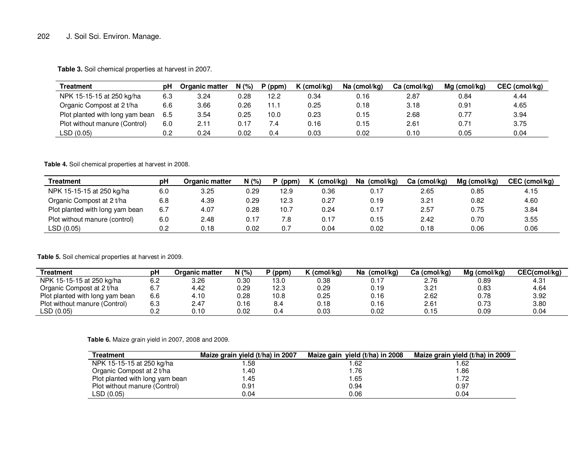# 202 J. Soil Sci. Environ. Manage.

**Table 3.** Soil chemical properties at harvest in 2007.

| Treatment                       | pН  | Organic matter | N(%  | $P$ (ppm) | $K$ (cmol/kg) | Na (cmol/kg) | Ca (cmol/kg) | Ma (cmol/ka) | CEC (cmol/kg) |
|---------------------------------|-----|----------------|------|-----------|---------------|--------------|--------------|--------------|---------------|
| NPK 15-15-15 at 250 kg/ha       | 6.3 | 3.24           | 0.28 | 12.2      | 0.34          | 0.16         | 2.87         | 0.84         | 4.44          |
| Organic Compost at 2 t/ha       | 6.6 | 3.66           | 0.26 | 11.1      | 0.25          | 0.18         | 3.18         | 0.91         | 4.65          |
| Plot planted with long yam bean | 6.5 | 3.54           | 0.25 | 10.0      | 0.23          | 0.15         | 2.68         | 0.77         | 3.94          |
| Plot without manure (Control)   | 6.0 | 2.11           | 0.17 |           | 0.16          | 0.15         | 2.61         | 0.71         | 3.75          |
| LSD (0.05)                      | 0.2 | 0.24           | 0.02 | 0.4       | 0.03          | 0.02         | 0.10         | 0.05         | 0.04          |

**Table 4.** Soil chemical properties at harvest in 2008.

| Treatment                       | рH  | <b>Organic matter</b> | N(%  | (ppm) | (cmol/kg) | (cmol/kg)<br>Na | Ca (cmol/kg) | $Mg$ (cmol/kg) | CEC (cmol/kg) |
|---------------------------------|-----|-----------------------|------|-------|-----------|-----------------|--------------|----------------|---------------|
| NPK 15-15-15 at 250 kg/ha       | 6.0 | 3.25                  | 0.29 | 12.9  | 0.36      | 0.17            | 2.65         | 0.85           | 4.15          |
| Organic Compost at 2 t/ha       | 6.8 | 4.39                  | 0.29 | 12.3  | 0.27      | 0.19            | 3.21         | 0.82           | 4.60          |
| Plot planted with long yam bean | 6.7 | 4.07                  | 0.28 | 10.7  | 0.24      | 0.17            | 2.57         | 0.75           | 3.84          |
| Plot without manure (control)   | 6.0 | 2.48                  | 0.17 | 7.8   | 0.17      | 0.15            | 2.42         | 0.70           | 3.55          |
| LSD (0.05)                      | 0.2 | 0.18                  | 0.02 | 0.7   | 0.04      | 0.02            | 0.18         | 0.06           | 0.06          |

## **Table 5.** Soil chemical properties at harvest in 2009.

| Treatment                       | рH  | Organic matter | N(%  | (ppm) | K (cmol/kg) | (cmol/ka)<br>Na | Ca (cmol/kg) | Mg (cmol/kg) | CEC(cmol/kg)  |
|---------------------------------|-----|----------------|------|-------|-------------|-----------------|--------------|--------------|---------------|
| NPK 15-15-15 at 250 kg/ha       | 6.2 | 3.26           | 0.30 | 13.0  | 0.38        | 0.17            | 2.76         | 0.89         | $4.3^{\circ}$ |
| Organic Compost at 2 t/ha       | 6.7 | 4.42           | 0.29 | 12.3  | 0.29        | 0.19            | 3.21         | 0.83         | 4.64          |
| Plot planted with long yam bean | 6.6 | 4.10           | 0.28 | 10.8  | 0.25        | 0.16            | 2.62         | 0.78         | 3.92          |
| Plot without manure (Control)   | 6.3 | 2.47           | 0.16 | 8.4   | 0.18        | 0.16            | 2.61         | 0.73         | 3.80          |
| LSD(0.05)                       | 0.2 | 0.10           | 0.02 | 0.4   | 0.03        | 0.02            | 0.15         | 0.09         | 0.04          |

**Table 6.** Maize grain yield in 2007, 2008 and 2009.

| Treatment                       | Maize grain yield (t/ha) in 2007 | Maize gain yield (t/ha) in 2008 | Maize grain yield (t/ha) in 2009 |
|---------------------------------|----------------------------------|---------------------------------|----------------------------------|
| NPK 15-15-15 at 250 kg/ha       | .58                              | 1.62                            | 62. ا                            |
| Organic Compost at 2 t/ha       | 40. ا                            | 1.76                            | 1.86                             |
| Plot planted with long yam bean | 1.45                             | 1.65                            | 1.72                             |
| Plot without manure (Control)   | 0.91                             | 0.94                            | 0.97                             |
| LSD(0.05)                       | 0.04                             | 0.06                            | 0.04                             |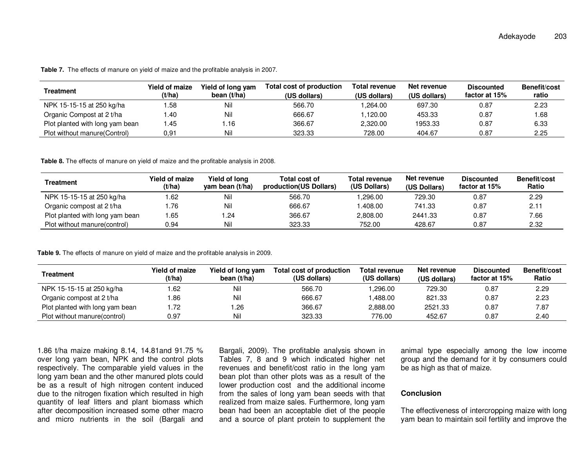**Table 7.** The effects of manure on yield of maize and the profitable analysis in 2007.

| Treatment                       | <b>Yield of maize</b><br>(t/ha) | Yield of long yam<br>bean $(t/ha)$ | Total cost of production<br>(US dollars) | Total revenue<br>(US dollars) | Net revenue<br>(US dollars) | <b>Discounted</b><br>factor at 15% | <b>Benefit/cost</b><br>ratio |
|---------------------------------|---------------------------------|------------------------------------|------------------------------------------|-------------------------------|-----------------------------|------------------------------------|------------------------------|
| NPK 15-15-15 at 250 kg/ha       | .58                             | Nil                                | 566.70                                   | .264.00                       | 697.30                      | 0.87                               | 2.23                         |
| Organic Compost at 2 t/ha       | .40                             | Nil                                | 666.67                                   | 1.120.00                      | 453.33                      | 0.87                               | .68                          |
| Plot planted with long yam bean | 45.،                            | i.16                               | 366.67                                   | 2,320.00                      | 1953.33                     | 0.87                               | 6.33                         |
| Plot without manure (Control)   | 0.91                            | Nil                                | 323.33                                   | 728.00                        | 404.67                      | 0.87                               | 2.25                         |

**Table 8.** The effects of manure on yield of maize and the profitable analysis in 2008.

| Treatment                       | Yield of maize<br>(t/ha) | Yield of long<br>yam bean (t/ha) | Total cost of<br>production (US Dollars) | Total revenue<br>(US Dollars) | Net revenue<br>(US Dollars) | <b>Discounted</b><br>factor at 15% | Benefit/cost<br>Ratio |
|---------------------------------|--------------------------|----------------------------------|------------------------------------------|-------------------------------|-----------------------------|------------------------------------|-----------------------|
| NPK 15-15-15 at 250 kg/ha       | .62                      | Nil                              | 566.70                                   | .296.00                       | 729.30                      | 0.87                               | 2.29                  |
| Organic compost at 2 t/ha       | .76                      | Nil                              | 666.67                                   | .408.00                       | 741.33                      | 0.87                               | 2.11                  |
| Plot planted with long yam bean | .65                      | .24                              | 366.67                                   | 2.808.00                      | 2441.33                     | 0.87                               | 7.66                  |
| Plot without manure (control)   | 0.94                     | Nil                              | 323.33                                   | 752.00                        | 428.67                      | 0.87                               | 2.32                  |

**Table 9.** The effects of manure on yield of maize and the profitable analysis in 2009.

| <b>Treatment</b>                | Yield of maize<br>(t/ha) | Yield of long yam<br>bean (t/ha) | <b>Total cost of production</b><br>(US dollars) | <b>Total revenue</b><br>(US dollars) | Net revenue<br>(US dollars) | <b>Discounted</b><br>factor at 15% | Benefit/cost<br>Ratio |
|---------------------------------|--------------------------|----------------------------------|-------------------------------------------------|--------------------------------------|-----------------------------|------------------------------------|-----------------------|
| NPK 15-15-15 at 250 kg/ha       | .62                      | Nil                              | 566.70                                          | 0.296.00                             | 729.30                      | 0.87                               | 2.29                  |
| Organic compost at 2 t/ha       | .86                      | Nil                              | 666.67                                          | .488.00                              | 821.33                      | 0.87                               | 2.23                  |
| Plot planted with long yam bean | . 72                     | l.26                             | 366.67                                          | 2,888.00                             | 2521.33                     | 0.87                               | 7.87                  |
| Plot without manure (control)   | 0.97                     | Nil                              | 323.33                                          | 776.00                               | 452.67                      | 0.87                               | 2.40                  |

1.86 t/ha maize making 8.14, 14.81and 91.75 % over long yam bean, NPK and the control plots respectively. The comparable yield values in the long yam bean and the other manured plots could be as a result of high nitrogen content induced due to the nitrogen fixation which resulted in high quantity of leaf litters and plant biomass which after decomposition increased some other macro and micro nutrients in the soil (Bargali and Bargali, 2009). The profitable analysis shown in Tables 7, 8 and 9 which indicated higher net revenues and benefit/cost ratio in the long yam bean plot than other plots was as a result of the lower production cost and the additional income from the sales of long yam bean seeds with that realized from maize sales. Furthermore, long yam bean had been an acceptable diet of the people and a source of plant protein to supplement the animal type especially among the low income group and the demand for it by consumers could be as high as that of maize.

# **Conclusion**

The effectiveness of intercropping maize with long yam bean to maintain soil fertility and improve the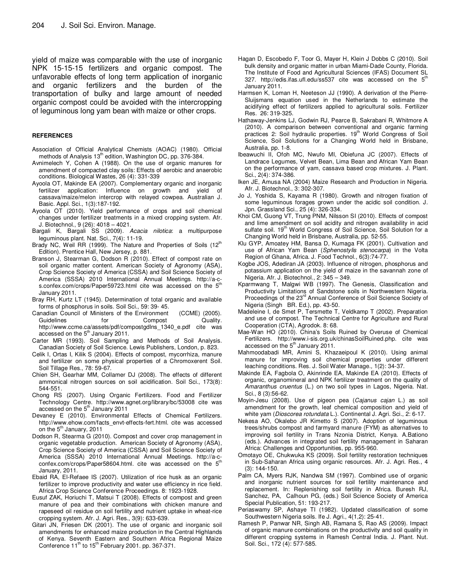yield of maize was comparable with the use of inorganic NPK 15-15-15 fertilizers and organic compost. The unfavorable effects of long term application of inorganic and organic fertilizers and the burden of the transportation of bulky and large amount of needed organic compost could be avoided with the intercropping of leguminous long yam bean with maize or other crops.

#### **REFERENCES**

- Association of Official Analytical Chemists (AOAC) (1980). Official methods of Analysis 13<sup>th</sup> edition, Washington DC, pp. 376-384.
- Avnimelech Y, Cohen A (1988). On the use of organic manures for amendment of compacted clay soils: Effects of aerobic and anaerobic conditions. Biological Wastes, 26 (4): 331-339
- Ayoola OT, Makinde EA (2007). Complementary organic and inorganic fertilizer application: Influence on growth and yield of cassava/maize/melon intercrop with relayed cowpea. Australian J. Basic. Appl. Sci., 1(3):187-192.
- Ayoola OT (2010). Yield performance of crops and soil chemical changes under fertilizer treatments in a mixed cropping system. Afr. J. Biotechnol., 9 (26): 4018 – 4021.
- Bargali K, Bargali SS (2009). Acacia nilotica: a multipurpose leguminous plant. Nat. Sci., 7(4): 11-19.
- Brady NC, Weil RR (1999). The Nature and Properties of Soils (12<sup>th</sup> Edition). Prentice Hall, New Jersey, p. 881.
- Branson J, Stearman G, Dodson R (2010). Effect of compost rate on soil organic matter content. American Society of Agronomy (ASA), Crop Science Society of America (CSSA) and Soil Science Society of America (SSSA) 2010 International Annual Meetings. http://a-cs.confex.com/crops/Paper59723.html cite was accessed on the 5<sup>th</sup> January 2011.
- Bray RH, Kurtz LT (1945). Determination of total organic and available forms of phosphorus in soils. Soil Sci., 59: 39- 45.
- Canadian Council of Ministers of the Environment (CCME) (2005). Guidelines for Compost Quality. http://www.ccme.ca/assets/pdf/compostgdlns\_1340\_e.pdf cite was accessed on the 5<sup>th</sup> January 2011.
- Carter MR (1993). Soil Sampling and Methods of Soil Analysis. Canadian Society of Soil Science. Lewis Publishers, London, p. 823.
- Celik I, Ortas I, Kilik S (2004). Effects of compost, mycorrhiza, manure and fertilizer on some physical properties of a Chromoxerent Soil. Soil Tillage Res., 78: 59-67.
- Chien SH, Gearhar MM, Collamer DJ (2008). The effects of different ammonical nitrogen sources on soil acidification. Soil Sci., 173(8): 544-551.
- Chong RS (2007). Using Organic Fertilizers. Food and Fertilizer Technology Centre. http://www.agnet.org/library/bc/53008 cite was accessed on the 5<sup>th</sup> January 2011
- Devaney E (2010). Environmental Effects of Chemical Fertilizers. http://www.ehow.com/facts\_envt-effects-fert.html. cite was accessed on the 5<sup>th</sup> January, 2011
- Dodson R, Stearma G (2010). Compost and cover crop management in organic vegetable production. American Society of Agronomy (ASA), Crop Science Society of America (CSSA) and Soil Science Society of America (SSSA) 2010 International Annual Meetings. http://a-cconfex.com/crops/Paper58604.html. cite was accessed on the 5<sup>th</sup> January, 2011.
- Ebaid RA, El-Refaee IS (2007). Utilization of rice husk as an organic fertilizer to improve productivity and water use efficiency in rice field. Africa Crop Science Conference Proceedings. 8: 1923-1928.
- Eusuf ZAK, Horiuchi T, Matsui T (2008). Effects of compost and green manure of pea and their combinations with chicken manure and rapeseed oil residue on soil fertility and nutrient uptake in wheat-rice cropping system. Afr. J. Agri. Res., 3(9): 633-639.
- Gitari JN, Friesen DK (2001). The use of organic and inorganic soil amendments for enhanced maize production in the Central Highlands of Kenya. Seventh Eastern and Southern Africa Regional Maize Conference  $11<sup>th</sup>$  to  $15<sup>th</sup>$  February 2001. pp. 367-371.
- Hagan D, Escobedo F, Toor G, Mayer H, Klein J Dobbs C (2010). Soil bulk density and organic matter in urban Miami-Dade County, Florida. The Institute of Food and Agricultural Sciences (IFAS) Document SL 327. http://edis.ifas.ufl.edu/ss537 cite was accessed on the  $5<sup>th</sup>$ January 2011.
- Harmsen K, Loman H, Neeteson JJ (1990). A derivation of the Pierre-Sluijsmans equation used in the Netherlands to estimate the acidifying effect of fertilizers applied to agricultural soils. Fertilizer Res. 26: 319-325.
- Hathaway-Jenkins LJ, Godwin RJ, Pearce B, Sakrabani R, Whitmore A (2010). A comparison between conventional and organic farming practices 2: Soil hydraulic properties. 19<sup>th</sup> World Congress of Soil Science, Soil Solutions for a Changing World held in Brisbane, Australia, pp. 1-8.
- Ibeawuchi II, Ofoh MC, Nwufo MI, Obiefuna JC (2007). Effects of Landrace Legumes, Velvet Bean, Lima Bean and African Yam Bean on the performance of yam, cassava based crop mixtures. J. Plant. Sci., 2(4): 374-386.
- Iken JE, Amusa NA (2004) Maize Research and Production in Nigeria. Afr. J. Biotechnol., 3: 302-307.
- Jo J, Yoshida S, Kayama R (1980). Growth and nitrogen fixation of some leguminous forages grown under the acidic soil condition. J. Jpn. Grassland Sci., 25 (4): 326-334.
- Khoi CM, Guong VT, Trung PNM, Nilsson SI (2010). Effects of compost and lime amendment on soil acidity and nitrogen availability in acid sulfate soil. 19<sup>th</sup> World Congress of Soil Science, Soil Solution for a Changing World held in Brisbane, Australia, pp. 52-55.
- Klu GYP, Amoatey HM, Bansa D, Kumaga FK (2001). Cultivation and use of African Yam Bean (Sphenostylis stenocarpa) in the Volta Region of Ghana, Africa. J. Food Technol., 6(3):74-77.
- Kogbe JOS, Adediran JA (2003). Influence of nitrogen, phosphorus and potassium application on the yield of maize in the savannah zone of Nigeria. Afr. J. Biotechnol., 2: 345 – 349.
- Kparmwang T, Malgwi WB (1997). The Genesis, Classification and Productivity Limitations of Sandstone soils in Northwestern Nigeria.<br>Proceedings of the 23<sup>rd</sup> Annual Conference of Soil Science Society of Nigeria (Singh BR. Ed.), pp. 43-50.
- Madeleine I, de Smet P, Tersmette T, Veldkamp T (2002). Preparation and use of compost. The Technical Centre for Agriculture and Rural Cooperation (CTA), Agrodok. 8: 68.
- Mae-Wan HO (2010). China's Soils Ruined by Overuse of Chemical Fertilizers. http://www.i-sis.org.uk/chinasSoilRuined.php. cite was accessed on the 5<sup>th</sup> January 2011.
- Mahmoodabadi MR, Amini S, Khazaeipoul K (2010). Using animal manure for improving soil chemical properties under different leaching conditions. Res. J. Soil Water Manage., 1(2): 34-37.
- Makinde EA, Fagbola O, Akinrinde EA, Makinde EA (2010). Effects of organic, organomineral and NPK fertilizer treatment on the quality of Amaranthus cruentus (L.) on two soil types in Lagos, Nigeria. Nat. Sci., 8 (3):56-62.
- Moyin-Jesu (2008). Use of pigeon pea (Cajanus cajan L.) as soil amendment for the growth, leaf chemical composition and yield of white yam (*Dioscorea rotundata* L.). Continental J. Agri. Sci., 2: 6-17.
- Nekesa AO, Okalebo JR Kimetto S (2007). Adoption of leguminous trees/shrubs compost and farmyard manure (FYM) as alternatives to improving soil fertility in Trans Nzonia District, Kenya. A.Bationo (eds.). Advances in integrated soil fertility management in Saharan Africa: Challenges and Opportunities, pp. 955-960.
- Omotayo OE, Chukwuka KS (2009). Soil fertility restoration techniques in Sub-Saharan Africa using organic resources. Afr. J. Agri. Res., 4 (3): 144-150.
- Palm CA, Myers RJK, Nandwa SM (1997). Combined use of organic and inorganic nutrient sources for soil fertility maintenance and replacement. In: Replenishing soil fertility in Africa. Buresh RJ, Sanchez, PA, Calhoun PG, (eds.) Soil Science Society of America Special Publication, 51: 193-217.
- Periaswamy SP, Ashaye TI (1982). Updated classification of some Southwestern Nigeria soils. Ife J. Agri., 4(1,2): 25-41.
- Ramesh P, Panwar NR, Singh AB, Ramana S, Rao AS (2009). Impact of organic manure combinations on the productivity and soil quality in different cropping systems in Ramesh Central India. J. Plant. Nut. Soil. Sci., 172 (4): 577-585.